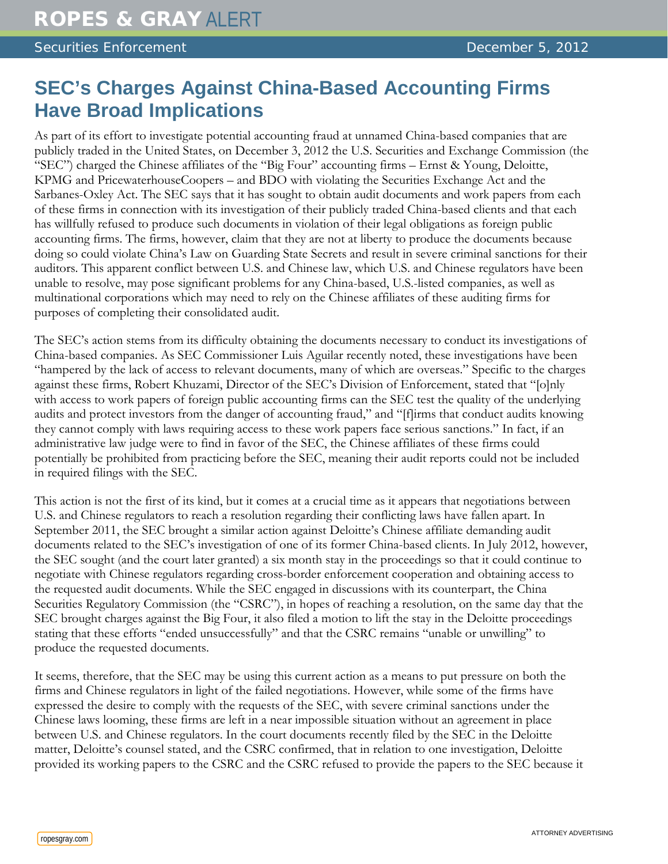## **SEC's Charges Against China-Based Accounting Firms Have Broad Implications**

As part of its effort to investigate potential accounting fraud at unnamed China-based companies that are publicly traded in the United States, on December 3, 2012 the U.S. Securities and Exchange Commission (the "SEC") charged the Chinese affiliates of the "Big Four" accounting firms – Ernst & Young, Deloitte, KPMG and PricewaterhouseCoopers – and BDO with violating the Securities Exchange Act and the Sarbanes-Oxley Act. The SEC says that it has sought to obtain audit documents and work papers from each of these firms in connection with its investigation of their publicly traded China-based clients and that each has willfully refused to produce such documents in violation of their legal obligations as foreign public accounting firms. The firms, however, claim that they are not at liberty to produce the documents because doing so could violate China's Law on Guarding State Secrets and result in severe criminal sanctions for their auditors. This apparent conflict between U.S. and Chinese law, which U.S. and Chinese regulators have been unable to resolve, may pose significant problems for any China-based, U.S.-listed companies, as well as multinational corporations which may need to rely on the Chinese affiliates of these auditing firms for purposes of completing their consolidated audit.

The SEC's action stems from its difficulty obtaining the documents necessary to conduct its investigations of China-based companies. As SEC Commissioner Luis Aguilar recently noted, these investigations have been "hampered by the lack of access to relevant documents, many of which are overseas." Specific to the charges against these firms, Robert Khuzami, Director of the SEC's Division of Enforcement, stated that "[o]nly with access to work papers of foreign public accounting firms can the SEC test the quality of the underlying audits and protect investors from the danger of accounting fraud," and "[f]irms that conduct audits knowing they cannot comply with laws requiring access to these work papers face serious sanctions." In fact, if an administrative law judge were to find in favor of the SEC, the Chinese affiliates of these firms could potentially be prohibited from practicing before the SEC, meaning their audit reports could not be included in required filings with the SEC.

This action is not the first of its kind, but it comes at a crucial time as it appears that negotiations between U.S. and Chinese regulators to reach a resolution regarding their conflicting laws have fallen apart. In September 2011, the SEC brought a similar action against Deloitte's Chinese affiliate demanding audit documents related to the SEC's investigation of one of its former China-based clients. In July 2012, however, the SEC sought (and the court later granted) a six month stay in the proceedings so that it could continue to negotiate with Chinese regulators regarding cross-border enforcement cooperation and obtaining access to the requested audit documents. While the SEC engaged in discussions with its counterpart, the China Securities Regulatory Commission (the "CSRC"), in hopes of reaching a resolution, on the same day that the SEC brought charges against the Big Four, it also filed a motion to lift the stay in the Deloitte proceedings stating that these efforts "ended unsuccessfully" and that the CSRC remains "unable or unwilling" to produce the requested documents.

It seems, therefore, that the SEC may be using this current action as a means to put pressure on both the firms and Chinese regulators in light of the failed negotiations. However, while some of the firms have expressed the desire to comply with the requests of the SEC, with severe criminal sanctions under the Chinese laws looming, these firms are left in a near impossible situation without an agreement in place between U.S. and Chinese regulators. In the court documents recently filed by the SEC in the Deloitte matter, Deloitte's counsel stated, and the CSRC confirmed, that in relation to one investigation, Deloitte provided its working papers to the CSRC and the CSRC refused to provide the papers to the SEC because it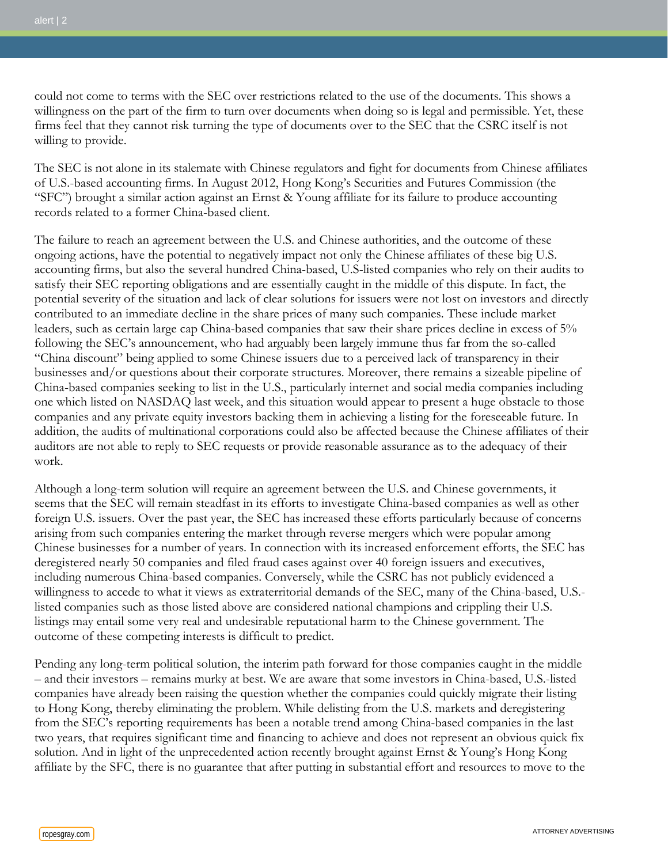could not come to terms with the SEC over restrictions related to the use of the documents. This shows a willingness on the part of the firm to turn over documents when doing so is legal and permissible. Yet, these firms feel that they cannot risk turning the type of documents over to the SEC that the CSRC itself is not willing to provide.

The SEC is not alone in its stalemate with Chinese regulators and fight for documents from Chinese affiliates of U.S.-based accounting firms. In August 2012, Hong Kong's Securities and Futures Commission (the "SFC") brought a similar action against an Ernst & Young affiliate for its failure to produce accounting records related to a former China-based client.

The failure to reach an agreement between the U.S. and Chinese authorities, and the outcome of these ongoing actions, have the potential to negatively impact not only the Chinese affiliates of these big U.S. accounting firms, but also the several hundred China-based, U.S-listed companies who rely on their audits to satisfy their SEC reporting obligations and are essentially caught in the middle of this dispute. In fact, the potential severity of the situation and lack of clear solutions for issuers were not lost on investors and directly contributed to an immediate decline in the share prices of many such companies. These include market leaders, such as certain large cap China-based companies that saw their share prices decline in excess of 5% following the SEC's announcement, who had arguably been largely immune thus far from the so-called "China discount" being applied to some Chinese issuers due to a perceived lack of transparency in their businesses and/or questions about their corporate structures. Moreover, there remains a sizeable pipeline of China-based companies seeking to list in the U.S., particularly internet and social media companies including one which listed on NASDAQ last week, and this situation would appear to present a huge obstacle to those companies and any private equity investors backing them in achieving a listing for the foreseeable future. In addition, the audits of multinational corporations could also be affected because the Chinese affiliates of their auditors are not able to reply to SEC requests or provide reasonable assurance as to the adequacy of their work.

Although a long-term solution will require an agreement between the U.S. and Chinese governments, it seems that the SEC will remain steadfast in its efforts to investigate China-based companies as well as other foreign U.S. issuers. Over the past year, the SEC has increased these efforts particularly because of concerns arising from such companies entering the market through reverse mergers which were popular among Chinese businesses for a number of years. In connection with its increased enforcement efforts, the SEC has deregistered nearly 50 companies and filed fraud cases against over 40 foreign issuers and executives, including numerous China-based companies. Conversely, while the CSRC has not publicly evidenced a willingness to accede to what it views as extraterritorial demands of the SEC, many of the China-based, U.S. listed companies such as those listed above are considered national champions and crippling their U.S. listings may entail some very real and undesirable reputational harm to the Chinese government. The outcome of these competing interests is difficult to predict.

Pending any long-term political solution, the interim path forward for those companies caught in the middle – and their investors – remains murky at best. We are aware that some investors in China-based, U.S.-listed companies have already been raising the question whether the companies could quickly migrate their listing to Hong Kong, thereby eliminating the problem. While delisting from the U.S. markets and deregistering from the SEC's reporting requirements has been a notable trend among China-based companies in the last two years, that requires significant time and financing to achieve and does not represent an obvious quick fix solution. And in light of the unprecedented action recently brought against Ernst & Young's Hong Kong affiliate by the SFC, there is no guarantee that after putting in substantial effort and resources to move to the